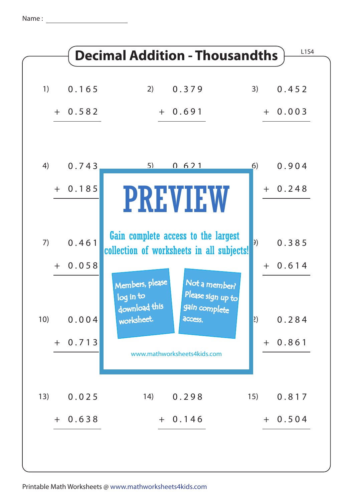